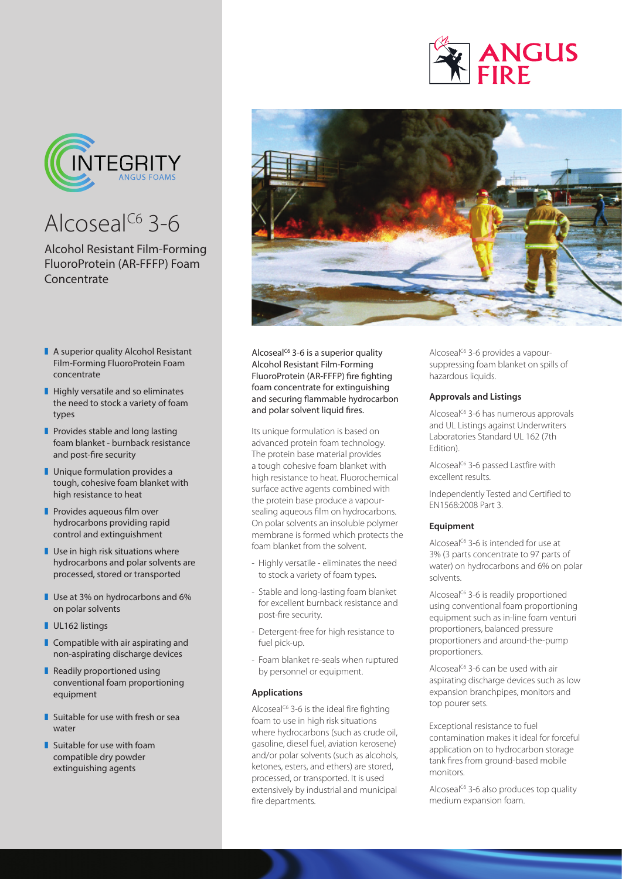

# Alcoseal<sup>C6</sup> 3-6

Alcohol Resistant Film-Forming FluoroProtein (AR-FFFP) Foam **Concentrate** 

- $\blacksquare$  A superior quality Alcohol Resistant Film-Forming FluoroProtein Foam concentrate
- $\blacksquare$  Highly versatile and so eliminates the need to stock a variety of foam types
- $\blacksquare$  Provides stable and long lasting foam blanket - burnback resistance and post-fire security
- $\blacksquare$  Unique formulation provides a tough, cohesive foam blanket with high resistance to heat
- $\blacksquare$  Provides aqueous film over hydrocarbons providing rapid control and extinguishment
- $\blacksquare$  Use in high risk situations where hydrocarbons and polar solvents are processed, stored or transported
- $\blacksquare$  Use at 3% on hydrocarbons and 6% on polar solvents
- UL162 listings
- $\blacksquare$  Compatible with air aspirating and non-aspirating discharge devices
- Readily proportioned using conventional foam proportioning equipment
- $\blacksquare$  Suitable for use with fresh or sea water
- $\blacksquare$  Suitable for use with foam compatible dry powder extinguishing agents



Alcoseal<sup> $C6$ </sup> 3-6 is a superior quality Alcohol Resistant Film-Forming FluoroProtein (AR-FFFP) fire fighting foam concentrate for extinguishing and securing flammable hydrocarbon and polar solvent liquid fires.

Its unique formulation is based on advanced protein foam technology. The protein base material provides a tough cohesive foam blanket with high resistance to heat. Fluorochemical surface active agents combined with the protein base produce a vapoursealing aqueous film on hydrocarbons. On polar solvents an insoluble polymer membrane is formed which protects the foam blanket from the solvent.

- Highly versatile eliminates the need to stock a variety of foam types.
- Stable and long-lasting foam blanket for excellent burnback resistance and post-fire security.
- Detergent-free for high resistance to fuel pick-up.
- Foam blanket re-seals when ruptured by personnel or equipment.

# **Applications**

Alcoseal<sup>C6</sup> 3-6 is the ideal fire fighting foam to use in high risk situations where hydrocarbons (such as crude oil, gasoline, diesel fuel, aviation kerosene) and/or polar solvents (such as alcohols, ketones, esters, and ethers) are stored, processed, or transported. It is used extensively by industrial and municipal fire departments.

Alcoseal<sup>C6</sup> 3-6 provides a vapoursuppressing foam blanket on spills of hazardous liquids.

**ANGUS** 

# **Approvals and Listings**

Alcoseal<sup>C6</sup> 3-6 has numerous approvals and UL Listings against Underwriters Laboratories Standard UL 162 (7th Edition).

Alcoseal<sup>C6</sup> 3-6 passed Lastfire with excellent results.

Independently Tested and Certified to EN1568:2008 Part 3.

### **Equipment**

Alcoseal<sup>C6</sup> 3-6 is intended for use at 3% (3 parts concentrate to 97 parts of water) on hydrocarbons and 6% on polar solvents.

Alcoseal<sup>C6</sup> 3-6 is readily proportioned using conventional foam proportioning equipment such as in-line foam venturi proportioners, balanced pressure proportioners and around-the-pump proportioners.

Alcoseal<sup> $C6$ </sup> 3-6 can be used with air aspirating discharge devices such as low expansion branchpipes, monitors and top pourer sets.

Exceptional resistance to fuel contamination makes it ideal for forceful application on to hydrocarbon storage tank fires from ground-based mobile monitors.

Alcoseal<sup>C6</sup> 3-6 also produces top quality medium expansion foam.